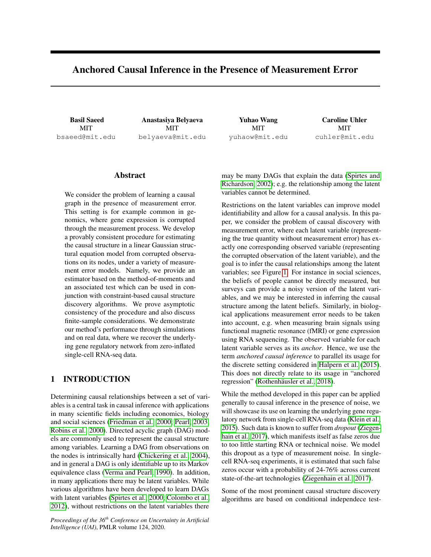# <span id="page-0-0"></span>Anchored Causal Inference in the Presence of Measurement Error

Basil Saeed MIT bsaeed@mit.edu

Anastasiya Belyaeva MIT belyaeva@mit.edu

Yuhao Wang MIT yuhaow@mit.edu

Caroline Uhler MIT cuhler@mit.edu

## Abstract

We consider the problem of learning a causal graph in the presence of measurement error. This setting is for example common in genomics, where gene expression is corrupted through the measurement process. We develop a provably consistent procedure for estimating the causal structure in a linear Gaussian structural equation model from corrupted observations on its nodes, under a variety of measurement error models. Namely, we provide an estimator based on the method-of-moments and an associated test which can be used in conjunction with constraint-based causal structure discovery algorithms. We prove asymptotic consistency of the procedure and also discuss finite-sample considerations. We demonstrate our method's performance through simulations and on real data, where we recover the underlying gene regulatory network from zero-inflated single-cell RNA-seq data.

## 1 INTRODUCTION

Determining causal relationships between a set of variables is a central task in causal inference with applications in many scientific fields including economics, biology and social sciences [\(Friedman et al., 2000;](#page-9-0) [Pearl, 2003;](#page-9-1) [Robins et al., 2000\)](#page-9-2). Directed acyclic graph (DAG) models are commonly used to represent the causal structure among variables. Learning a DAG from observations on the nodes is intrinsically hard [\(Chickering et al., 2004\)](#page-8-0), and in general a DAG is only identifiable up to its Markov equivalence class [\(Verma and Pearl, 1990\)](#page-9-3). In addition, in many applications there may be latent variables. While various algorithms have been developed to learn DAGs with latent variables [\(Spirtes et al., 2000;](#page-9-4) [Colombo et al.,](#page-8-1) [2012\)](#page-8-1), without restrictions on the latent variables there

*Proceedings of the 36th Conference on Uncertainty in Artificial Intelligence (UAI)*, PMLR volume 124, 2020.

may be many DAGs that explain the data [\(Spirtes and](#page-9-5) [Richardson, 2002\)](#page-9-5); e.g. the relationship among the latent variables cannot be determined.

Restrictions on the latent variables can improve model identifiability and allow for a causal analysis. In this paper, we consider the problem of causal discovery with measurement error, where each latent variable (representing the true quantity without measurement error) has exactly one corresponding observed variable (representing the corrupted observation of the latent variable), and the goal is to infer the causal relationships among the latent variables; see Figure [1.](#page-1-0) For instance in social sciences, the beliefs of people cannot be directly measured, but surveys can provide a noisy version of the latent variables, and we may be interested in inferring the causal structure among the latent beliefs. Similarly, in biological applications measurement error needs to be taken into account, e.g. when measuring brain signals using functional magnetic resonance (fMRI) or gene expression using RNA sequencing. The observed variable for each latent variable serves as its *anchor*. Hence, we use the term *anchored causal inference* to parallel its usage for the discrete setting considered in [Halpern et al.](#page-9-6) [\(2015\)](#page-9-6). This does not directly relate to its usage in "anchored regression" [\(Rothenhäusler et al., 2018\)](#page-9-7).

While the method developed in this paper can be applied generally to causal inference in the presence of noise, we will showcase its use on learning the underlying gene regulatory network from single-cell RNA-seq data [\(Klein et al.,](#page-9-8) [2015\)](#page-9-8). Such data is known to suffer from *dropout* [\(Ziegen](#page-9-9)[hain et al., 2017\)](#page-9-9), which manifests itself as false zeros due to too little starting RNA or technical noise. We model this dropout as a type of measurement noise. In singlecell RNA-seq experiments, it is estimated that such false zeros occur with a probability of 24-76% across current state-of-the-art technologies [\(Ziegenhain et al., 2017\)](#page-9-9).

Some of the most prominent causal structure discovery algorithms are based on conditional independece test-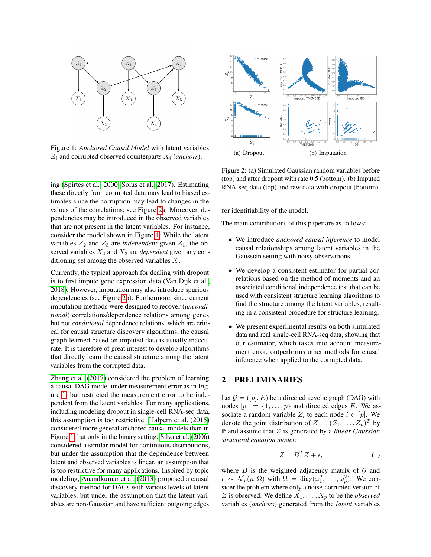<span id="page-1-0"></span>

Figure 1: *Anchored Causal Model* with latent variables  $Z_i$  and corrupted observed counterparts  $X_i$  (*anchors*).

ing [\(Spirtes et al., 2000;](#page-9-4) [Solus et al., 2017\)](#page-9-10). Estimating these directly from corrupted data may lead to biased estimates since the corruption may lead to changes in the values of the correlations; see Figure [2a](#page-1-1). Moreover, dependencies may be introduced in the observed variables that are not present in the latent variables. For instance, consider the model shown in Figure [1:](#page-1-0) While the latent variables  $Z_2$  and  $Z_3$  are *independent* given  $Z_1$ , the observed variables  $X_2$  and  $X_3$  are *dependent* given any conditioning set among the observed variables  $X$ .

Currently, the typical approach for dealing with dropout is to first impute gene expression data [\(Van Dijk et al.,](#page-9-11) [2018\)](#page-9-11). However, imputation may also introduce spurious dependencies (see Figure [2b](#page-1-1)). Furthermore, since current imputation methods were designed to recover (*unconditional*) correlations/dependence relations among genes but not *conditional* dependence relations, which are critical for causal structure discovery algorithms, the causal graph learned based on imputed data is usually inaccurate. It is therefore of great interest to develop algorithms that directly learn the causal structure among the latent variables from the corrupted data.

[Zhang et al.](#page-9-12) [\(2017\)](#page-9-12) considered the problem of learning a causal DAG model under measurement error as in Figure [1,](#page-1-0) but restricted the measurement error to be independent from the latent variables. For many applications, including modeling dropout in single-cell RNA-seq data, this assumption is too restrictive. [Halpern et al.](#page-9-6) [\(2015\)](#page-9-6) considered more general anchored causal models than in Figure [1,](#page-1-0) but only in the binary setting. [Silva et al.](#page-9-13) [\(2006\)](#page-9-13) considered a similar model for continuous distributions, but under the assumption that the dependence between latent and observed variables is linear, an assumption that is too restrictive for many applications. Inspired by topic modeling, [Anandkumar et al.](#page-8-2) [\(2013\)](#page-8-2) proposed a causal discovery method for DAGs with various levels of latent variables, but under the assumption that the latent variables are non-Gaussian and have sufficient outgoing edges

<span id="page-1-1"></span>

Figure 2: (a) Simulated Gaussian random variables before (top) and after dropout with rate 0.5 (bottom). (b) Imputed RNA-seq data (top) and raw data with dropout (bottom).

for identifiability of the model.

The main contributions of this paper are as follows:

- We introduce *anchored causal inference* to model causal relationships among latent variables in the Gaussian setting with noisy observations .
- We develop a consistent estimator for partial correlations based on the method of moments and an associated conditional independence test that can be used with consistent structure learning algorithms to find the structure among the latent variables, resulting in a consistent procedure for structure learning.
- We present experimental results on both simulated data and real single-cell RNA-seq data, showing that our estimator, which takes into account measurement error, outperforms other methods for causal inference when applied to the corrupted data.

## 2 PRELIMINARIES

Let  $\mathcal{G} = ([p], E)$  be a directed acyclic graph (DAG) with nodes  $[p] := \{1, \ldots, p\}$  and directed edges E. We associate a random variable  $Z_i$  to each node  $i \in [p]$ . We denote the joint distribution of  $Z = (Z_1, \ldots, Z_p)^T$  by P and assume that Z is generated by a *linear Gaussian structural equation model*:

<span id="page-1-2"></span>
$$
Z = B^T Z + \epsilon,\tag{1}
$$

where  $B$  is the weighted adjacency matrix of  $G$  and  $\epsilon \sim \mathcal{N}_p(\mu, \Omega)$  with  $\Omega = \text{diag}(\omega_1^2, \cdots, \omega_p^2)$ . We consider the problem where only a noise-corrupted version of Z is observed. We define  $X_1, \ldots, X_p$  to be the *observed* variables (*anchors*) generated from the *latent* variables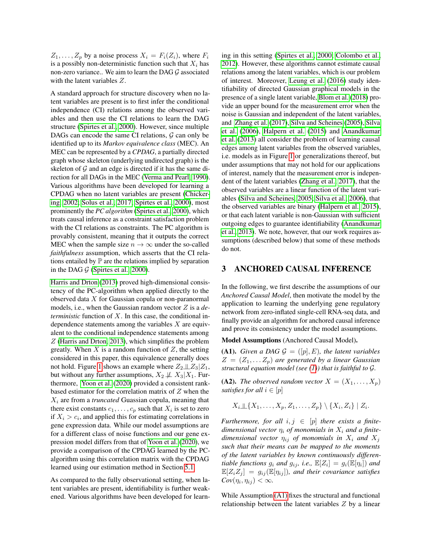$Z_1, \ldots, Z_p$  by a noise process  $X_i = F_i(Z_i)$ , where  $F_i$ is a possibly non-deterministic function such that  $X_i$  has non-zero variance.. We aim to learn the DAG  $\mathcal G$  associated with the latent variables Z.

A standard approach for structure discovery when no latent variables are present is to first infer the conditional independence (CI) relations among the observed variables and then use the CI relations to learn the DAG structure [\(Spirtes et al., 2000\)](#page-9-4). However, since multiple DAGs can encode the same CI relations,  $\mathcal G$  can only be identified up to its *Markov equivalence class* (MEC). An MEC can be represented by a *CPDAG*, a partially directed graph whose skeleton (underlying undirected graph) is the skeleton of  $G$  and an edge is directed if it has the same direction for all DAGs in the MEC [\(Verma and Pearl, 1990\)](#page-9-3). Various algorithms have been developed for learning a CPDAG when no latent variables are present [\(Chicker](#page-8-3)[ing, 2002;](#page-8-3) [Solus et al., 2017;](#page-9-10) [Spirtes et al., 2000\)](#page-9-4), most prominently the *PC algorithm* [\(Spirtes et al., 2000\)](#page-9-4), which treats causal inference as a constraint satisfaction problem with the CI relations as constraints. The PC algorithm is provably consistent, meaning that it outputs the correct MEC when the sample size  $n \to \infty$  under the so-called *faithfulness* assumption, which asserts that the CI relations entailed by  $\mathbb P$  are the relations implied by separation in the DAG  $G$  [\(Spirtes et al., 2000\)](#page-9-4).

[Harris and Drton](#page-9-14) [\(2013\)](#page-9-14) proved high-dimensional consistency of the PC-algorithm when applied directly to the observed data X for Gaussian copula or non-paranormal models, i.e., when the Gaussian random vector Z is a *deterministic* function of X. In this case, the conditional independence statements among the variables  $X$  are equivalent to the conditional independence statements among Z [\(Harris and Drton, 2013\)](#page-9-14), which simplifies the problem greatly. When  $X$  is a random function of  $Z$ , the setting considered in this paper, this equivalence generally does not hold. Figure [1](#page-1-0) shows an example where  $Z_2 \perp Z_3 | Z_1$ , but without any further assumptions,  $X_2 \not\perp\!\!\!\perp X_3 | X_1$ . Furthermore, [Yoon et al.](#page-9-15) [\(2020\)](#page-9-15) provided a consistent rankbased estimator for the correlation matrix of  $Z$  when the  $X_i$  are from a *truncated* Guassian copula, meaning that there exist constants  $c_1, \ldots, c_p$  such that  $X_i$  is set to zero if  $X_i > c_i$ , and applied this for estimating correlations in gene expression data. While our model assumptions are for a different class of noise functions and our gene expression model differs from that of [Yoon et al.](#page-9-15) [\(2020\)](#page-9-15), we provide a comparison of the CPDAG learned by the PCalgorithm using this correlation matrix with the CPDAG learned using our estimation method in Section [5.1.](#page-7-0)

As compared to the fully observational setting, when latent variables are present, identifiability is further weakened. Various algorithms have been developed for learning in this setting [\(Spirtes et al., 2000;](#page-9-4) [Colombo et al.,](#page-8-1) [2012\)](#page-8-1). However, these algorithms cannot estimate causal relations among the latent variables, which is our problem of interest. Moreover, [Leung et al.](#page-9-16) [\(2016\)](#page-9-16) study identifiability of directed Gaussian graphical models in the presence of a single latent variable, [Blom et al.](#page-8-4) [\(2018\)](#page-8-4) provide an upper bound for the measurement error when the noise is Gaussian and independent of the latent variables, and [Zhang et al.](#page-9-12) [\(2017\)](#page-9-12), [Silva and Scheines](#page-9-17) [\(2005\)](#page-9-17), [Silva](#page-9-13) [et al.](#page-9-13) [\(2006\)](#page-9-13), [Halpern et al.](#page-9-6) [\(2015\)](#page-9-6) and [Anandkumar](#page-8-2) [et al.](#page-8-2) [\(2013\)](#page-8-2) all consider the problem of learning causal edges among latent variables from the observed variables, i.e. models as in Figure [1](#page-1-0) or generalizations thereof, but under assumptions that may not hold for our applications of interest, namely that the measurement error is independent of the latent variables [\(Zhang et al., 2017\)](#page-9-12), that the observed variables are a linear function of the latent variables [\(Silva and Scheines, 2005;](#page-9-17) [Silva et al., 2006\)](#page-9-13), that the observed variables are binary [\(Halpern et al., 2015\)](#page-9-6), or that each latent variable is non-Gaussian with sufficient outgoing edges to guarantee identifiability [\(Anandkumar](#page-8-2) [et al., 2013\)](#page-8-2). We note, however, that our work requires assumptions (described below) that some of these methods do not.

## <span id="page-2-2"></span>3 ANCHORED CAUSAL INFERENCE

In the following, we first describe the assumptions of our *Anchored Causal Model*, then motivate the model by the application to learning the underlying gene regulatory network from zero-inflated single-cell RNA-seq data, and finally provide an algorithm for anchored causal inference and prove its consistency under the model assumptions.

<span id="page-2-0"></span>Model Assumptions (Anchored Causal Model).

(A1). *Given a DAG*  $G = ([p], E)$ *, the latent variables*  $Z = (Z_1, \ldots Z_p)$  are generated by a linear Gaussian *structural equation model (see [\(1\)](#page-1-2)) that is faithful to* G*.*

<span id="page-2-1"></span>(A2). *The observed random vector*  $X = (X_1, \ldots, X_p)$ *satisfies for all*  $i \in [p]$ 

$$
X_i \perp \!\!\!\perp \{X_1, \ldots, X_p, Z_1, \ldots, Z_p\} \setminus \{X_i, Z_i\} \mid Z_i.
$$

*Furthermore, for all*  $i, j \in [p]$  *there exists a finite*dimensional vector  $\eta_i$  of monomials in  $X_i$  and a finite*dimensional vector*  $\eta_{ij}$  *of monomials in*  $X_i$  *and*  $X_j$ *such that their means can be mapped to the moments of the latent variables by known continuously differentiable functions*  $g_i$  *and*  $g_{ij}$ *, i.e.*,  $\mathbb{E}[Z_i] = g_i(\mathbb{E}[\eta_i])$  *and*  $\mathbb{E}[Z_i Z_j] = g_{ij}(\mathbb{E}[\eta_{ij}])$ , and their covariance satisfies  $Cov(\eta_i, \eta_{ij}) < \infty$ .

While Assumption [\(A1\)](#page-2-0) fixes the structural and functional relationship between the latent variables Z by a linear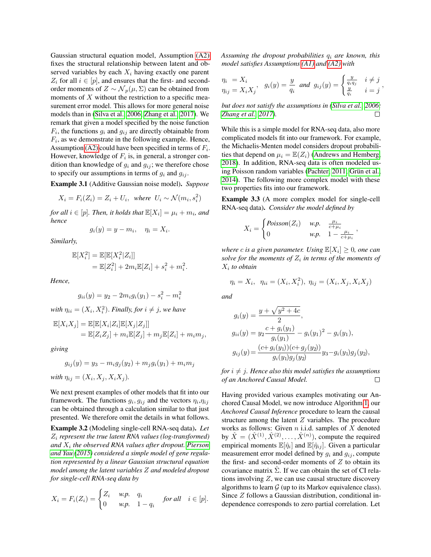Gaussian structural equation model, Assumption [\(A2\)](#page-2-1) fixes the structural relationship between latent and observed variables by each  $X_i$  having exactly one parent  $Z_i$  for all  $i \in [p]$ , and ensures that the first- and secondorder moments of  $Z \sim \mathcal{N}_p(\mu, \Sigma)$  can be obtained from moments of  $X$  without the restriction to a specific measurement error model. This allows for more general noise models than in [\(Silva et al., 2006;](#page-9-13) [Zhang et al., 2017\)](#page-9-12). We remark that given a model specified by the noise function  $F_i$ , the functions  $g_i$  and  $g_{ij}$  are directly obtainable from  $F_i$ , as we demonstrate in the following example. Hence, Assumption [\(A2\)](#page-2-1) could have been specified in terms of  $F_i$ . However, knowledge of  $F_i$  is, in general, a stronger condition than knowledge of  $g_i$  and  $g_{ij}$ ; we therefore chose to specify our assumptions in terms of  $g_i$  and  $g_{ij}$ .

Example 3.1 (Additive Gaussian noise model). *Suppose*

$$
X_i = F_i(Z_i) = Z_i + U_i, \text{ where } U_i \sim \mathcal{N}(m_i, s_i^2)
$$

for all  $i \in [p]$ . Then, it holds that  $\mathbb{E}[X_i] = \mu_i + m_i$ , and *hence*

$$
g_i(y) = y - m_i, \quad \eta_i = X_i.
$$

*Similarly,*

$$
\mathbb{E}[X_i^2] = \mathbb{E}[\mathbb{E}[X_i^2 | Z_i]]
$$
  
=  $\mathbb{E}[Z_i^2] + 2m_i \mathbb{E}[Z_i] + s_i^2 + m_i^2$ .

*Hence,*

$$
g_{ii}(y) = y_2 - 2m_i g_i(y_1) - s_i^2 - m_i^2
$$

with  $\eta_{ii} = (X_i, X_i^2)$ . *Finally, for*  $i \neq j$ *, we have* 

$$
\begin{aligned} \mathbb{E}[X_i X_j] &= \mathbb{E}[\mathbb{E}[X_i | Z_i] \mathbb{E}[X_j | Z_j]] \\ &= \mathbb{E}[Z_i Z_j] + m_i \mathbb{E}[Z_j] + m_j \mathbb{E}[Z_i] + m_i m_j, \end{aligned}
$$

*giving*

$$
g_{ij}(y) = y_3 - m_i g_j(y_2) + m_j g_i(y_1) + m_i m_j
$$
  
with 
$$
\eta_{ij} = (X_i, X_j, X_i X_j).
$$

We next present examples of other models that fit into our framework. The functions  $g_i, g_{ij}$  and the vectors  $\eta_i, \eta_{ij}$ can be obtained through a calculation similar to that just presented. We therefore omit the details in what follows.

<span id="page-3-0"></span>Example 3.2 (Modeling single-cell RNA-seq data). *Let* Z<sup>i</sup> *represent the true latent RNA values (log-transformed) and* X<sup>i</sup> *the observed RNA values after dropout. [Pierson](#page-9-18) [and Yau](#page-9-18) [\(2015\)](#page-9-18) considered a simple model of gene regulation represented by a linear Gaussian structural equation model among the latent variables* Z *and modeled dropout for single-cell RNA-seq data by*

$$
X_i = F_i(Z_i) = \begin{cases} Z_i & \text{w.p.} & q_i \\ 0 & \text{w.p.} & 1 - q_i \end{cases} \quad \text{for all} \quad i \in [p].
$$

*Assuming the dropout probabilities* q<sup>i</sup> *are known, this model satisfies Assumptions [\(A1\)](#page-2-0) and [\(A2\)](#page-2-1) with*

$$
\eta_i = X_i
$$
  
\n
$$
\eta_{ij} = X_i X_j, \quad g_i(y) = \frac{y}{q_i} \quad \text{and} \quad g_{ij}(y) = \begin{cases} \frac{y}{q_i q_j} & i \neq j \\ \frac{y}{q_i} & i = j \end{cases},
$$

*but does not satisfy the assumptions in [\(Silva et al., 2006;](#page-9-13) [Zhang et al., 2017\)](#page-9-12).* П

While this is a simple model for RNA-seq data, also more complicated models fit into our framework. For example, the Michaelis-Menten model considers dropout probabilities that depend on  $\mu_i = \mathbb{E}(Z_i)$  [\(Andrews and Hemberg,](#page-8-5) [2018\)](#page-8-5). In addition, RNA-seq data is often modeled using Poisson random variables [\(Pachter, 2011;](#page-9-19) [Grün et al.,](#page-9-20) [2014\)](#page-9-20). The following more complex model with these two properties fits into our framework.

Example 3.3 (A more complex model for single-cell RNA-seq data). *Consider the model defined by*

$$
X_i = \begin{cases} Poisson(Z_i) & w.p.\\ 0 & w.p. \end{cases} \quad \begin{array}{l} \frac{\mu_i}{c + \mu_i} \\ \mu_i, \end{array}
$$

,

where  $c$  is a given parameter. Using  $\mathbb{E}[X_i] \geq 0$ , one can  $\mathit{solve}$  for the moments of  $Z_i$  in terms of the moments of X<sup>i</sup> *to obtain*

$$
\eta_i = X_i, \ \ \eta_{ii} = (X_i, X_i^2), \ \eta_{ij} = (X_i, X_j, X_i X_j)
$$

*and*

$$
g_i(y) = \frac{y + \sqrt{y^2 + 4c}}{2},
$$
  
\n
$$
g_{ii}(y) = y_2 \frac{c + g_i(y_1)}{g_i(y_1)} - g_i(y_1)^2 - g_i(y_1),
$$
  
\n
$$
g_{ij}(y) = \frac{(c + g_i(y_1))(c + g_j(y_2))}{g_i(y_1)g_j(y_2)}y_3 - g_i(y_1)g_j(y_2),
$$

*for*  $i \neq j$ *. Hence also this model satisfies the assumptions of an Anchored Causal Model.*  $\Box$ 

Having provided various examples motivating our Anchored Causal Model, we now introduce Algorithm [1,](#page-4-0) our *Anchored Causal Inference* procedure to learn the causal structure among the latent  $Z$  variables. The procedure works as follows: Given  $n$  i.i.d. samples of  $X$  denoted by  $\hat{X} = (\hat{X}^{(1)}, \hat{X}^{(2)}, \dots, \hat{X}^{(n)})$ , compute the required empirical moments  $\mathbb{E}[\hat{\eta}_i]$  and  $\mathbb{E}[\hat{\eta}_{ij}]$ . Given a particular measurement error model defined by  $q_i$  and  $q_{ij}$ , compute the first- and second-order moments of  $Z$  to obtain its covariance matrix  $\hat{\Sigma}$ . If we can obtain the set of CI relations involving  $Z$ , we can use causal structure discovery algorithms to learn  $G$  (up to its Markov equivalence class). Since Z follows a Gaussian distribution, conditional independence corresponds to zero partial correlation. Let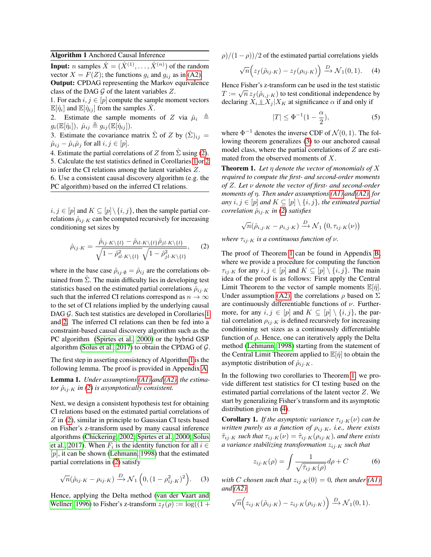## <span id="page-4-0"></span>Algorithm 1 Anchored Causal Inference

**Input:** *n* samples  $\hat{X} = (\hat{X}^{(1)}, \dots, \hat{X}^{(n)})$  of the random vector  $X = F(Z)$ ; the functions  $g_i$  and  $g_{ij}$  as in [\(A2\).](#page-2-1)

Output: CPDAG representing the Markov equivalence class of the DAG  $G$  of the latent variables  $Z$ .

1. For each  $i, j \in [p]$  compute the sample moment vectors  $\mathbb{E}[\hat{\eta}_i]$  and  $\mathbb{E}[\hat{\eta}_{ij}]$  from the samples  $\hat{X}$ .

2. Estimate the sample moments of Z via  $\hat{\mu}_i \triangleq$  $g_i(\mathbb{E}[\hat{\eta}_i]), \ \hat{\mu}_{ij} \triangleq g_{ij}(\mathbb{E}[\hat{\eta}_{ij}]).$ 

3. Estimate the covariance matrix  $\hat{\Sigma}$  of Z by  $(\hat{\Sigma})_{ij} =$  $\hat{\mu}_{ij} - \hat{\mu}_i \hat{\mu}_j$  for all  $i, j \in [p]$ .

4. Estimate the partial correlations of Z from  $\hat{\Sigma}$  using [\(2\)](#page-4-1). 5. Calculate the test statistics defined in Corollaries [1](#page-4-2) or [2](#page-5-0) to infer the CI relations among the latent variables Z.

6. Use a consistent causal discovery algorithm (e.g. the PC algorithm) based on the inferred CI relations.

 $i, j \in [p]$  and  $K \subseteq [p] \setminus \{i, j\}$ , then the sample partial correlations  $\hat{\rho}_{ij\cdot K}$  can be computed recursively for increasing conditioning set sizes by

<span id="page-4-1"></span>
$$
\hat{\rho}_{ij \cdot K} = \frac{\hat{\rho}_{ij \cdot K \setminus \{l\}} - \hat{\rho}_{il \cdot K \setminus \{l\}} \hat{\rho}_{jl \cdot K \setminus \{l\}}}{\sqrt{1 - \hat{\rho}_{il \cdot K \setminus \{l\}}^2} \sqrt{1 - \hat{\rho}_{jl \cdot K \setminus \{l\}}^2}},\qquad(2)
$$

where in the base case  $\hat{\rho}_{ij\cdot\emptyset} = \hat{\rho}_{ij}$  are the correlations obtained from  $\hat{\Sigma}$ . The main difficulty lies in developing test statistics based on the estimated partial correlations  $\hat{\rho}_{ij,K}$ such that the inferred CI relations correspond as  $n \to \infty$ to the set of CI relations implied by the underlying causal DAG G. Such test statistics are developed in Corollaries [1](#page-4-2) and [2.](#page-5-0) The inferred CI relations can then be fed into a constraint-based causal discovery algorithm such as the PC algorithm [\(Spirtes et al., 2000\)](#page-9-4) or the hybrid GSP algorithm [\(Solus et al., 2017\)](#page-9-10) to obtain the CPDAG of  $G$ .

The first step in asserting consistency of Algorithm [1](#page-4-0) is the following lemma. The proof is provided in Appendix [A.](#page-0-0)

<span id="page-4-8"></span>Lemma 1. *Under assumptions [\(A1\)](#page-2-0) and [\(A2\),](#page-2-1) the estimator*  $\hat{\rho}_{ij \cdot K}$  *in* [\(2\)](#page-4-1) *is asymptotically consistent.* 

Next, we design a consistent hypothesis test for obtaining CI relations based on the estimated partial correlations of Z in [\(2\)](#page-4-1), similar in principle to Gaussian CI tests based on Fisher's z-transform used by many causal inference algorithms [\(Chickering, 2002;](#page-8-3) [Spirtes et al., 2000;](#page-9-4) [Solus](#page-9-10) [et al., 2017\)](#page-9-10). When  $F_i$  is the identity function for all  $i \in$  $[p]$ , it can be shown [\(Lehmann, 1998\)](#page-9-21) that the estimated partial correlations in [\(2\)](#page-4-1) satisfy

$$
\sqrt{n}(\hat{\rho}_{ij\cdot K} - \rho_{ij\cdot K}) \xrightarrow{D} \mathcal{N}_1\left(0, (1 - \rho_{ij\cdot K}^2)^2\right). \tag{3}
$$

Hence, applying the Delta method [\(van der Vaart and](#page-9-22) [Wellner, 1996\)](#page-9-22) to Fisher's z-transform  $z_f(\rho) := \log((1 +$   $\rho$ / $(1 - \rho)$ )/2 of the estimated partial correlations yields

$$
\sqrt{n}\Big(z_f(\hat{\rho}_{ij\cdot K}) - z_f(\rho_{ij\cdot K})\Big) \xrightarrow{D} \mathcal{N}_1(0,1). \tag{4}
$$

Hence Fisher's z-transform can be used in the test statistic Thence Fisher S z-transform can be used in the test statistic  $T := \sqrt{n} z_f(\hat{\rho}_{i,j\cdot K})$  to test conditional independence by declaring  $X_i \perp \!\!\! \perp X_j | X_K$  at significance  $\alpha$  if and only if

<span id="page-4-7"></span><span id="page-4-5"></span>
$$
|T| \le \Phi^{-1}(1 - \frac{\alpha}{2}),\tag{5}
$$

where  $\Phi^{-1}$  denotes the inverse CDF of  $\mathcal{N}(0, 1)$ . The following theorem generalizes [\(3\)](#page-4-3) to our anchored causal model class, where the partial correlations of  $Z$  are estimated from the observed moments of X.

<span id="page-4-4"></span>Theorem 1. *Let* η *denote the vector of monomials of* X *required to compute the first- and second-order moments of* Z*. Let* ν *denote the vector of first- and second-order moments of* η*. Then under assumptions [\(A1\)](#page-2-0) and [\(A2\),](#page-2-1) for any*  $i, j \in [p]$  *and*  $K \subseteq [p] \setminus \{i, j\}$ *, the estimated partial correlation*  $\hat{\rho}_{ij \cdot K}$  *in* [\(2\)](#page-4-1) *satisfies* 

$$
\sqrt{n}(\hat{\rho}_{i,j\cdot K} - \rho_{i,j\cdot K}) \xrightarrow{D} \mathcal{N}_1\left(0, \tau_{ij\cdot K}(\nu)\right)
$$

*where*  $\tau_{ij \cdot K}$  *is a continuous function of v.* 

The proof of Theorem [1](#page-4-4) can be found in Appendix [B,](#page-0-0) where we provide a procedure for computing the function  $\tau_{ij\cdot K}$  for any  $i, j \in [p]$  and  $K \subseteq [p] \setminus \{i, j\}$ . The main idea of the proof is as follows: First apply the Central Limit Theorem to the vector of sample moments  $\mathbb{E}[\hat{\eta}]$ . Under assumption [\(A2\),](#page-2-1) the correlations  $\rho$  based on  $\Sigma$ are continuously differentiable functions of  $\nu$ . Furthermore, for any  $i, j \in [p]$  and  $K \subseteq [p] \setminus \{i, j\}$ , the partial correlation  $\rho_{ij\cdot K}$  is defined recursively for increasing conditioning set sizes as a continuously differentiable function of  $\rho$ . Hence, one can iteratively apply the Delta method [\(Lehmann, 1998\)](#page-9-21) starting from the statement of the Central Limit Theorem applied to  $\mathbb{E}[\hat{\eta}]$  to obtain the asymptotic distribution of  $\hat{\rho}_{ij \cdot K}$ .

In the following two corollaries to Theorem [1,](#page-4-4) we provide different test statistics for CI testing based on the estimated partial correlations of the latent vector Z. We start by generalizing Fisher's transform and its asymptotic distribution given in [\(4\)](#page-4-5).

<span id="page-4-2"></span>**Corollary 1.** *If the asymptotic variance*  $\tau_{ij \cdot K}(\nu)$  *can be written purely as a function of*  $\rho_{ij,K}$ *, i.e., there exists*  $\tilde{\tau}_{ij\cdot K}$  *such that*  $\tau_{ij\cdot K}(\nu) = \tilde{\tau}_{ij\cdot K}(\rho_{ij\cdot K})$ *, and there exists a variance stabilizing transformation* zij·<sup>K</sup> *such that*

<span id="page-4-6"></span>
$$
z_{ij \cdot K}(\rho) = \int \frac{1}{\sqrt{\tilde{\tau}_{ij \cdot K}(\rho)}} d\rho + C \tag{6}
$$

<span id="page-4-3"></span>*with C chosen such that*  $z_{ij \cdot K}(0) = 0$ *, then under (A1) and [\(A2\)](#page-2-1)*

$$
\sqrt{n}\Big(z_{ij\cdot K}(\hat{\rho}_{ij\cdot K})-z_{ij\cdot K}(\rho_{ij\cdot K})\Big)\stackrel{D}{\longrightarrow}\mathcal{N}_1(0,1).
$$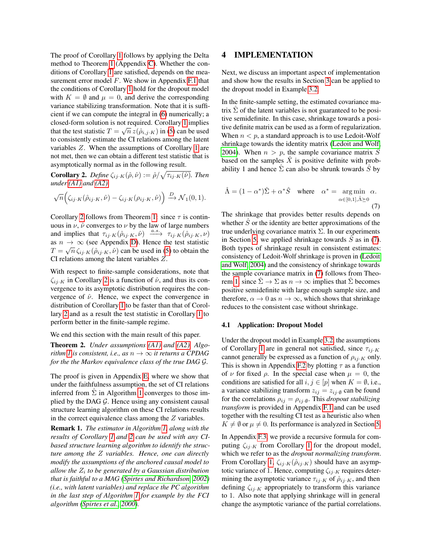The proof of Corollary [1](#page-4-2) follows by applying the Delta method to Theorem [1](#page-4-4) (Appendix [C\)](#page-0-0). Whether the conditions of Corollary [1](#page-4-2) are satisfied, depends on the measurement error model  $F$ . We show in Appendix [F.1](#page-0-0) that the conditions of Corollary [1](#page-4-2) hold for the dropout model with  $K = \emptyset$  and  $\mu = 0$ , and derive the corresponding variance stabilizing transformation. Note that it is sufficient if we can compute the integral in [\(6\)](#page-4-6) numerically; a closed-form solution is not required. Corollary [1](#page-4-2) implies √ that the test statistic  $T = \sqrt{n} z(\hat{\rho}_{i,j\cdot K})$  in [\(5\)](#page-4-7) can be used to consistently estimate the CI relations among the latent variables Z. When the assumptions of Corollary [1](#page-4-2) are not met, then we can obtain a different test statistic that is asymptotically normal as in the following result.

<span id="page-5-0"></span>**Corollary 2.** Define  $\zeta_{ij \cdot K}(\hat{\rho}, \hat{\nu}) := \hat{\rho}/\sqrt{\tau_{ij \cdot K}(\hat{\nu})}$ . Then *under [\(A1\)](#page-2-0) and [\(A2\)](#page-2-1)*

$$
\sqrt{n}\Big(\zeta_{ij\cdot K}(\hat{\rho}_{ij\cdot K},\hat{\nu})-\zeta_{ij\cdot K}(\rho_{ij\cdot K},\hat{\nu})\Big)\stackrel{D}{\longrightarrow}\mathcal{N}_1(0,1).
$$

Corollary [2](#page-5-0) follows from Theorem [1:](#page-4-4) since  $\tau$  is continuous in  $\nu$ ,  $\hat{\nu}$  converges to  $\nu$  by the law of large numbers and implies that  $\tau_{ij\cdot K}(\hat{\rho}_{ij\cdot K}, \hat{\nu}) \xrightarrow{a.s.} \tau_{ij\cdot K}(\hat{\rho}_{ij\cdot K}, \nu)$ as  $n \to \infty$  (see Appendix [D\)](#page-0-0). Hence the test statistic  $T = \sqrt{n} \, \zeta_{ij \cdot K}(\hat{\rho}_{ij \cdot K}, \hat{\nu})$  can be used in [\(5\)](#page-4-7) to obtain the CI relations among the latent variables Z.

With respect to finite-sample considerations, note that  $\zeta_{ij\cdot K}$  in Corollary [2](#page-5-0) is a function of  $\hat{\nu}$ , and thus its convergence to its asymptotic distribution requires the convergence of  $\hat{\nu}$ . Hence, we expect the convergence in distribution of Corollary [1](#page-4-2) to be faster than that of Corollary [2](#page-5-0) and as a result the test statistic in Corollary [1](#page-4-2) to perform better in the finite-sample regime.

We end this section with the main result of this paper.

Theorem 2. *Under assumptions [\(A1\)](#page-2-0) and [\(A2\),](#page-2-1) Algorithm 1 is consistent, i.e., as*  $n \rightarrow \infty$  *it returns a CPDAG for the the Markov equivalence class of the true DAG* G*.*

The proof is given in Appendix [E,](#page-0-0) where we show that under the faithfulness assumption, the set of CI relations inferred from  $\Sigma$  in Algorithm [1](#page-4-0) converges to those implied by the DAG  $G$ . Hence using any consistent causal structure learning algorithm on these CI relations results in the correct equivalence class among the  $Z$  variables.

Remark 1. *The estimator in Algorithm [1,](#page-4-0) along with the results of Corollary [1](#page-4-2) and [2](#page-5-0) can be used with any CIbased structure learning algorithm to identify the structure among the* Z *variables. Hence, one can directly modify the assumptions of the anchored causal model to allow the* Z<sup>i</sup> *to be generated by a Gaussian distribution that is faithful to a MAG [\(Spirtes and Richardson, 2002\)](#page-9-5) (i.e., with latent variables) and replace the PC algorithm in the last step of Algorithm [1](#page-4-0) for example by the FCI algorithm [\(Spirtes et al., 2000\)](#page-9-4).*

## 4 IMPLEMENTATION

Next, we discuss an important aspect of implementation and show how the results in Section [3](#page-2-2) can be applied to the dropout model in Example [3.2.](#page-3-0)

In the finite-sample setting, the estimated covariance matrix  $\hat{\Sigma}$  of the latent variables is not guaranteed to be positive semidefinite. In this case, shrinkage towards a positive definite matrix can be used as a form of regularization. When  $n < p$ , a standard approach is to use Ledoit-Wolf shrinkage towards the identity matrix [\(Ledoit and Wolf,](#page-9-23) [2004\)](#page-9-23). When  $n > p$ , the sample covariance matrix  $\hat{S}$ based on the samples  $\tilde{X}$  is positive definite with probability 1 and hence  $\Sigma$  can also be shrunk towards  $\tilde{S}$  by

<span id="page-5-1"></span>
$$
\hat{\Lambda} = (1 - \alpha^*)\hat{\Sigma} + \alpha^* \hat{S} \quad \text{where} \quad \alpha^* = \underset{\alpha \in [0,1], \hat{\Lambda} \succeq 0}{\arg \min} \alpha.
$$
\n(7)

The shrinkage that provides better results depends on whether  $\hat{S}$  or the identity are better approximations of the true underlying covariance matrix  $\Sigma$ . In our experiments in Section [5,](#page-6-0) we applied shrinkage towards  $\ddot{S}$  as in [\(7\)](#page-5-1). Both types of shrinkage result in consistent estimates: consistency of Ledoit-Wolf shrinkage is proven in [\(Ledoit](#page-9-23) [and Wolf, 2004\)](#page-9-23) and the consistency of shrinkage towards the sample covariance matrix in [\(7\)](#page-5-1) follows from Theo-rem [1,](#page-4-8) since  $\Sigma \to \Sigma$  as  $n \to \infty$  implies that  $\Sigma$  becomes positive semidefinite with large enough sample size, and therefore,  $\alpha \to 0$  as  $n \to \infty$ , which shows that shrinkage reduces to the consistent case without shrinkage.

#### 4.1 Application: Dropout Model

Under the dropout model in Example [3.2,](#page-3-0) the assumptions of Corollary [1](#page-4-2) are in general not satisfied, since  $\tau_{ij,K}$ cannot generally be expressed as a function of  $\rho_{ij,K}$  only. This is shown in Appendix [F.2](#page-0-0) by plotting  $\tau$  as a function of  $\nu$  for fixed  $\rho$ . In the special case when  $\mu = 0$ , the conditions are satisfied for all  $i, j \in [p]$  when  $K = \emptyset$ , i.e., a variance stabilizing transform  $z_{ij} = z_{ij} \phi$  can be found for the correlations  $\rho_{ij} = \rho_{ij} \phi$ . This *dropout stabilizing transform* is provided in Appendix [F.1](#page-0-0) and can be used together with the resulting CI test as a heuristic also when  $K \neq \emptyset$  or  $\mu \neq 0$ . Its performance is analyzed in Section [5.](#page-6-0)

In Appendix [F.3,](#page-0-0) we provide a recursive formula for computing  $\zeta_{ij\cdot K}$  from Corollary [1](#page-4-2) for the dropout model, which we refer to as the *dropout normalizing transform*. From Corollary [1,](#page-4-2)  $\zeta_{ij,K}(\hat{\rho}_{ij,K})$  should have an asymptotic variance of 1. Hence, computing  $\zeta_{ij\cdot K}$  requires determining the asymptotic variance  $\tau_{ij\cdot K}$  of  $\hat{\rho}_{ij\cdot K}$ , and then defining  $\zeta_{ij\cdot K}$  appropriately to transform this variance to 1. Also note that applying shrinkage will in general change the asymptotic variance of the partial correlations.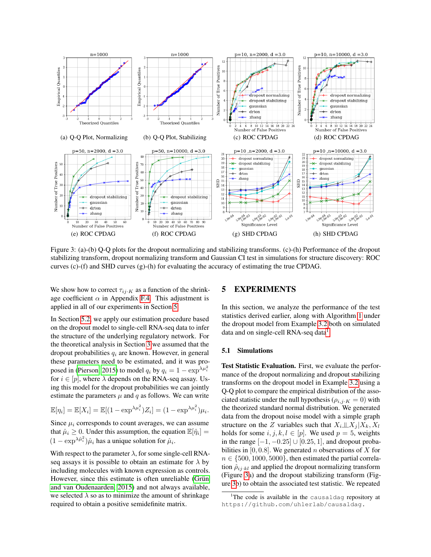<span id="page-6-2"></span>

Figure 3: (a)-(b) Q-Q plots for the dropout normalizing and stabilizing transforms. (c)-(h) Performance of the dropout stabilizing transform, dropout normalizing transform and Gaussian CI test in simulations for structure discovery: ROC curves  $(c)$ - $(f)$  and SHD curves  $(g)$ - $(h)$  for evaluating the accuracy of estimating the true CPDAG.

We show how to correct  $\tau_{ij\cdot K}$  as a function of the shrinkage coefficient  $\alpha$  in Appendix [F.4.](#page-0-0) This adjustment is applied in all of our experiments in Section [5.](#page-6-0)

In Section [5.2,](#page-7-1) we apply our estimation procedure based on the dropout model to single-cell RNA-seq data to infer the structure of the underlying regulatory network. For the theoretical analysis in Section [3](#page-2-2) we assumed that the dropout probabilities  $q_i$  are known. However, in general these parameters need to be estimated, and it was pro-posed in [\(Pierson, 2015\)](#page-9-24) to model  $q_i$  by  $q_i = 1 - \exp^{\lambda \mu_i^2}$ for  $i \in [p]$ , where  $\lambda$  depends on the RNA-seq assay. Using this model for the dropout probabilities we can jointly estimate the parameters  $\mu$  and  $q$  as follows. We can write

$$
\mathbb{E}[\eta_i] = \mathbb{E}[X_i] = \mathbb{E}[(1 - \exp^{\lambda \mu_i^2})Z_i] = (1 - \exp^{\lambda \mu_i^2})\mu_i.
$$

Since  $\mu_i$  corresponds to count averages, we can assume that  $\hat{\mu}_i \geq 0$ . Under this assumption, the equation  $\mathbb{E}[\hat{\eta}_i] =$  $(1 - \exp^{\lambda \hat{\mu}_i^2}) \hat{\mu}_i$  has a unique solution for  $\hat{\mu}_i$ .

With respect to the parameter  $\lambda$ , for some single-cell RNAseq assays it is possible to obtain an estimate for  $\lambda$  by including molecules with known expression as controls. However, since this estimate is often unreliable [\(Grün](#page-9-25) [and van Oudenaarden, 2015\)](#page-9-25) and not always available, we selected  $\lambda$  so as to minimize the amount of shrinkage required to obtain a positive semidefinite matrix.

## <span id="page-6-0"></span>5 EXPERIMENTS

In this section, we analyze the performance of the test statistics derived earlier, along with Algorithm [1](#page-4-0) under the dropout model from Example [3.2](#page-3-0) both on simulated data and on single-cell RNA-seq data<sup>[1](#page-6-1)</sup>

#### 5.1 Simulations

Test Statistic Evaluation. First, we evaluate the performance of the dropout normalizing and dropout stabilizing transforms on the dropout model in Example [3.2](#page-3-0) using a Q-Q plot to compare the empirical distribution of the associated statistic under the null hypothesis ( $\rho_{i,j\cdot K} = 0$ ) with the theorized standard normal distribution. We generated data from the dropout noise model with a simple graph structure on the Z variables such that  $X_i \perp \!\!\!\perp X_j | X_k, X_l$ holds for some  $i, j, k, l \in [p]$ . We used  $p = 5$ , weights in the range  $[-1, -0.25]$  ∪ [0.25, 1], and dropout probabilities in  $[0, 0.8]$ . We generated *n* observations of *X* for  $n \in \{500, 1000, 5000\}$ , then estimated the partial correlation  $\hat{\rho}_{ij\cdot kl}$  and applied the dropout normalizing transform (Figure [3a](#page-6-2)) and the dropout stabilizing transform (Figure [3b](#page-6-2)) to obtain the associated test statistic. We repeated

<span id="page-6-1"></span><sup>&</sup>lt;sup>1</sup>The code is available in the causaldag repository at https://github.com/uhlerlab/causaldag.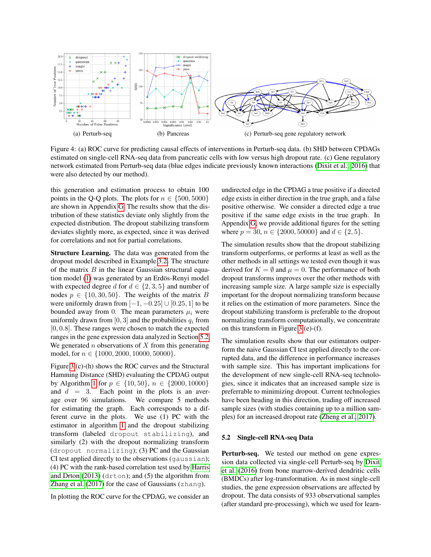<span id="page-7-0"></span>

Figure 4: (a) ROC curve for predicting causal effects of interventions in Perturb-seq data. (b) SHD between CPDAGs estimated on single-cell RNA-seq data from pancreatic cells with low versus high dropout rate. (c) Gene regulatory network estimated from Perturb-seq data (blue edges indicate previously known interactions [\(Dixit et al., 2016\)](#page-9-26) that were also detected by our method).

this generation and estimation process to obtain 100 points in the Q-Q plots. The plots for  $n \in \{500, 5000\}$ are shown in Appendix [G.](#page-0-0) The results show that the distribution of these statistics deviate only slightly from the expected distribution. The dropout stabilizing transform deviates slightly more, as expected, since it was derived for correlations and not for partial correlations.

Structure Learning. The data was generated from the dropout model described in Example [3.2.](#page-3-0) The structure of the matrix  $B$  in the linear Gaussian structural equation model [\(1\)](#page-1-2) was generated by an Erdös-Renyi model with expected degree d for  $d \in \{2, 3, 5\}$  and number of nodes  $p \in \{10, 30, 50\}$ . The weights of the matrix B were uniformly drawn from  $[-1, -0.25]$  ∪  $[0.25, 1]$  to be bounded away from 0. The mean parameters  $\mu_i$  were uniformly drawn from [0, 3] and the probabilities  $q_i$  from [0, 0.8]. These ranges were chosen to match the expected ranges in the gene expression data analyzed in Section [5.2.](#page-7-1) We generated  $n$  observations of  $X$  from this generating model, for  $n \in \{1000, 2000, 10000, 50000\}.$ 

Figure [3](#page-6-2) (c)-(h) shows the ROC curves and the Structural Hamming Distance (SHD) evaluating the CPDAG output by Algorithm [1](#page-4-0) for  $p \in \{10, 50\}$ ,  $n \in \{2000, 10000\}$ and  $d = 3$ . Each point in the plots is an average over 96 simulations. We compare 5 methods for estimating the graph. Each corresponds to a different curve in the plots. We use (1) PC with the estimator in algorithm [1](#page-4-0) and the dropout stabilizing transform (labeled dropout stabilizing), and similarly (2) with the dropout normalizing transform (dropout normalizing); (3) PC and the Gaussian CI test applied directly to the observations (gaussian); (4) PC with the rank-based correlation test used by [Harris](#page-9-14) [and Drton](#page-9-14)  $(2013)$  (drton); and  $(5)$  the algorithm from [Zhang et al.](#page-9-12) [\(2017\)](#page-9-12) for the case of Gaussians (zhang).

In plotting the ROC curve for the CPDAG, we consider an

undirected edge in the CPDAG a true positive if a directed edge exists in either direction in the true graph, and a false positive otherwise. We consider a directed edge a true positive if the same edge exists in the true graph. In Appendix [G,](#page-0-0) we provide additional figures for the setting where  $p = 30$ ,  $n \in \{2000, 50000\}$  and  $d \in \{2, 5\}$ .

The simulation results show that the dropout stabilizing transform outperforms, or performs at least as well as the other methods in all settings we tested even though it was derived for  $K = \emptyset$  and  $\mu = 0$ . The performance of both dropout transforms improves over the other methods with increasing sample size. A large sample size is especially important for the dropout normalizing transform because it relies on the estimation of more parameters. Since the dropout stabilizing transform is preferable to the dropout normalizing transform computationally, we concentrate on this transform in Figure [3](#page-6-2) (e)-(f).

The simulation results show that our estimators outperform the naive Gaussian CI test applied directly to the corrupted data, and the difference in performance increases with sample size. This has important implications for the development of new single-cell RNA-seq technologies, since it indicates that an increased sample size is preferrable to minimizing dropout. Current technologies have been heading in this direction, trading off increased sample sizes (with studies containing up to a million samples) for an increased dropout rate [\(Zheng et al., 2017\)](#page-9-27).

### <span id="page-7-1"></span>5.2 Single-cell RNA-seq Data

Perturb-seq. We tested our method on gene expression data collected via single-cell Perturb-seq by [Dixit](#page-9-26) [et al.](#page-9-26) [\(2016\)](#page-9-26) from bone marrow-derived dendritic cells (BMDCs) after log-transformation. As in most single-cell studies, the gene expression observations are affected by dropout. The data consists of 933 observational samples (after standard pre-processing), which we used for learn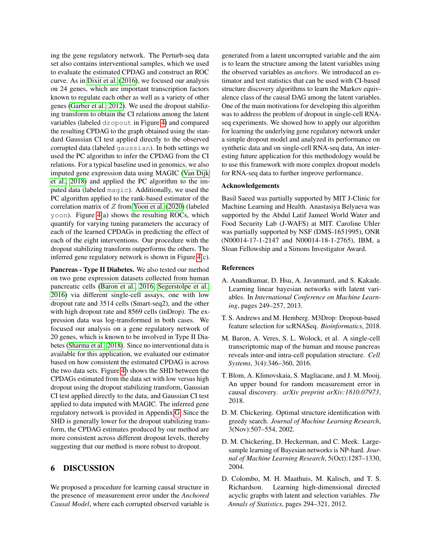ing the gene regulatory network. The Perturb-seq data set also contains interventional samples, which we used to evaluate the estimated CPDAG and construct an ROC curve. As in [Dixit et al.](#page-9-26) [\(2016\)](#page-9-26), we focused our analysis on 24 genes, which are important transcription factors known to regulate each other as well as a variety of other genes [\(Garber et al., 2012\)](#page-9-28). We used the dropout stabilizing transform to obtain the CI relations among the latent variables (labeled dropout in Figure [4\)](#page-7-0) and compared the resulting CPDAG to the graph obtained using the standard Gaussian CI test applied directly to the observed corrupted data (labeled gaussian). In both settings we used the PC algorithm to infer the CPDAG from the CI relations. For a typical baseline used in genomics, we also imputed gene expression data using MAGIC [\(Van Dijk](#page-9-11) [et al., 2018\)](#page-9-11) and applied the PC algorithm to the imputed data (labeled magic). Additionally, we used the PC algorithm applied to the rank-based estimator of the correlation matrix of Z from [Yoon et al.](#page-9-15) [\(2020\)](#page-9-15) (labeled yoon). Figure [4\(](#page-7-0)a) shows the resulting ROCs, which quantify for varying tuning parameters the accuracy of each of the learned CPDAGs in predicting the effect of each of the eight interventions. Our procedure with the dropout stabilizing transform outperforms the others. The inferred gene regulatory network is shown in Figure [4\(](#page-7-0)c).

Pancreas - Type II Diabetes. We also tested our method on two gene expression datasets collected from human pancreatic cells [\(Baron et al., 2016;](#page-8-6) [Segerstolpe et al.,](#page-9-29) [2016\)](#page-9-29) via different single-cell assays, one with low dropout rate and 3514 cells (Smart-seq2), and the other with high dropout rate and 8569 cells (inDrop). The expression data was log-transformed in both cases. We focused our analysis on a gene regulatory network of 20 genes, which is known to be involved in Type II Diabetes [\(Sharma et al., 2018\)](#page-9-30). Since no interventional data is available for this application, we evaluated our estimator based on how consistent the estimated CPDAG is across the two data sets. Figure [4b](#page-7-0) shows the SHD between the CPDAGs estimated from the data set with low versus high dropout using the dropout stabilizing transform, Gaussian CI test applied directly to the data, and Gaussian CI test applied to data imputed with MAGIC. The inferred gene regulatory network is provided in Appendix [G.](#page-0-0) Since the SHD is generally lower for the dropout stabilizing transform, the CPDAG estimates produced by our method are more consistent across different dropout levels, thereby suggesting that our method is more robust to dropout.

## 6 DISCUSSION

We proposed a procedure for learning causal structure in the presence of measurement error under the *Anchored Causal Model*, where each corrupted observed variable is generated from a latent uncorrupted variable and the aim is to learn the structure among the latent variables using the observed variables as *anchors*. We introduced an estimator and test statistics that can be used with CI-based structure discovery algorithms to learn the Markov equivalence class of the causal DAG among the latent variables. One of the main motivations for developing this algorithm was to address the problem of dropout in single-cell RNAseq experiments. We showed how to apply our algorithm for learning the underlying gene regulatory network under a simple dropout model and analyzed its performance on synthetic data and on single-cell RNA-seq data, An interesting future application for this methodology would be to use this framework with more complex dropout models for RNA-seq data to further improve performance.

### Acknowledgements

Basil Saeed was partially supported by MIT J-Clinic for Machine Learning and Health. Anastasiya Belyaeva was supported by the Abdul Latif Jameel World Water and Food Security Lab (J-WAFS) at MIT. Caroline Uhler was partially supported by NSF (DMS-1651995), ONR (N00014-17-1-2147 and N00014-18-1-2765), IBM, a Sloan Fellowship and a Simons Investigator Award.

#### References

- <span id="page-8-2"></span>A. Anandkumar, D. Hsu, A. Javanmard, and S. Kakade. Learning linear bayesian networks with latent variables. In *International Conference on Machine Learning*, pages 249–257, 2013.
- <span id="page-8-5"></span>T. S. Andrews and M. Hemberg. M3Drop: Dropout-based feature selection for scRNASeq. *Bioinformatics*, 2018.
- <span id="page-8-6"></span>M. Baron, A. Veres, S. L. Wolock, et al. A single-cell transcriptomic map of the human and mouse pancreas reveals inter-and intra-cell population structure. *Cell Systems*, 3(4):346–360, 2016.
- <span id="page-8-4"></span>T. Blom, A. Klimovskaia, S. Magliacane, and J. M. Mooij. An upper bound for random measurement error in causal discovery. *arXiv preprint arXiv:1810.07973*, 2018.
- <span id="page-8-3"></span>D. M. Chickering. Optimal structure identification with greedy search. *Journal of Machine Learning Research*, 3(Nov):507–554, 2002.
- <span id="page-8-0"></span>D. M. Chickering, D. Heckerman, and C. Meek. Largesample learning of Bayesian networks is NP-hard. *Journal of Machine Learning Research*, 5(Oct):1287–1330, 2004.
- <span id="page-8-1"></span>D. Colombo, M. H. Maathuis, M. Kalisch, and T. S. Richardson. Learning high-dimensional directed acyclic graphs with latent and selection variables. *The Annals of Statistics*, pages 294–321, 2012.